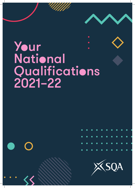# Your National Qualifications 2021–22

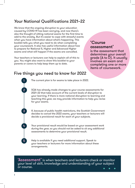# Your National Qualifications 2021–22

We know that the ongoing disruption to your education caused by COVID-19 has been worrying, and now there's also the thought of sitting national exams for the first time to add to the anxiety. But it's easier to cope with stressful events when you have information about what's happening. This booklet tells you what you need to do when completing your coursework. It also has useful information about how to prepare for National 5, Higher and Advanced Higher exams and what will happen if the exams are cancelled.

Your teachers or lecturers can help to explain all of this to you. You might also want to show this booklet to your parents or carers to help keep them up to date.

1

2

3

4

5

# 'Course assessment'

is the assessment that determines your overall grade (A to D). It usually involves an exam and completing one or more items of coursework.

# Five things you need to know for 2022

The current plan is for exams to take place in 2022.

SQA has already made changes to your course assessments for 2021–22 that take account of the current levels of disruption to your learning. If there is more national disruption to learning and teaching this year, we may provide information to help you revise for your exams.

If, because of public health restrictions, the Scottish Government decides to cancel the 2022 exams, your teachers or lecturers will decide a provisional result for each of your subjects.

Your provisional result would be based on your assessment work during the year, so you should not be asked to sit any additional assessments to determine your provisional result.

Help is available if you need additional support. Speak to your teachers or lecturers for more information about these arrangements.

'Assessment' is when teachers and lecturers check or monitor your level of skill, knowledge and understanding of your subject or course.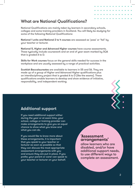# What are National Qualifications?

National Qualifications are mainly taken by learners in secondary schools, colleges and some training providers in Scotland. You will likely be studying for some of the following National Qualifications:

National 1 units and National 2 to 4 courses are assessed as 'pass' or 'fail' by your teacher or lecturer.

National 5, Higher and Advanced Higher courses have course assessments. These typically include coursework and an end of year exam marked by SQA that is graded A to D.

Skills for Work courses focus on the general skills needed for success in the workplace and are usually assessed by a range of practical activities.

Scottish Baccalaureates are available to learners in S5 and S6. They are made up of a group of Higher and Advanced Higher qualifications plus an interdisciplinary project that is graded A to D (like the exams). These qualifications enable learners to develop and show evidence of initiative, responsibility, and independent working.



# Additional support

If you need additional support either during the year or at exam time, your school, college or training provider can make arrangements to give you an equal chance to show what you know and what you can do.

If you would like to know more about these arrangements, it is important that you speak to your teacher or lecturer as soon as possible so that they can discuss the most appropriate assessment arrangements with you and ensure they are put in place. If you prefer, your parent or carer can speak to your teacher or lecturer on your behalf.

## 'Assessment arrangements'

allow learners who are disabled, and/or have additional support needs, to use different ways to complete an assessment.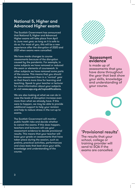# National 5, Higher and Advanced Higher exams

The Scottish Government has announced that National 5, Higher and Advanced Higher exams will take place from April to June next year, as long as it is safe to do so. For most of you, this will be a new experience after the disruption of 2020 and 2021 when exams were cancelled.

We have made changes to course assessments because of the disruption caused by the pandemic. For example, in some subjects we have removed or reduced the exam or elements of coursework. In other subjects we have removed some parts of the course. This means that you should do less assessment than in a 'normal' year so that there's more time for learning and teaching. Speak to your teacher or lecturer for more information about your subjects or visit www.sqa.org.uk/nqmodifications.

We are also looking at what we can do in case the levels of disruption increase even more than what we already have. If this were to happen, we may be able to provide additional support to help your revision and help to reduce stress in the run-up to exams.

The Scottish Government will monitor public health risks and decide whether to cancel the exams. If this does happen, teachers and lecturers will use your assessment evidence to decide provisional results. This means that your teacher will base your grade on assessments that have taken place during the session, such as prelims, practical activities, performances and class tests that best show your skills, knowledge and understanding of the course.



## 'Assessment evidence'

is made up of assessments that you have done throughout the year that best show your skills, knowledge and understanding of your course.

# 'Provisional results'

The results that your school, college or training provider will send to SQA if the exams are cancelled.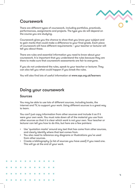

# Coursework

There are different types of coursework, including portfolios, practicals, performances, assignments and projects. The type you do will depend on the course you are studying.

Coursework gives you the chance to show that you know your subject and to gain marks that could make a difference to your final grade. Each piece of coursework will have different requirements – your teacher or lecturer will tell you about these.

There are rules and essential information you need to know about your coursework. It is important that you understand the rules because they are there to make sure that coursework assessments are fair to everyone.

If you do not understand the rules, speak to your teacher or lecturer. They can also tell you what could happen if you break the rules.

You will also find lots of useful information at www.sqa.org.uk/learners

# Doing your coursework

#### Sources

You may be able to use lots of different sources, including books, the internet and TV, to support your work. Using different sources is a great way to learn.

You can't just copy information from other sources and include it as if it were your own work. You must note down all of the material you use from other sources so that it is clear which work is not your own. Your teacher or lecturer can tell you how to do this, but here are a few pointers:

- Use 'quotation marks' around any text that has come from other sources, and clearly identify where that text comes from.
- You also need to reference any diagrams or illustrations you've used from other sources.
- Create a bibliography (a list of sources you have used) if you need one. This will go at the end of your work.

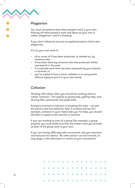

## Plagiarism

You must not pretend that other people's work is your own. Passing off other people's work and ideas as your own is called 'plagiarism' and it's cheating.

If you don't reference sources as explained above, that's also plagiarism.

It's not your own work if:

- all or some of it has been produced, or worked on, by someone else
- it has been done by someone who has produced similar coursework in the past
- it is example work that has been prepared by your teacher or lecturer, or
- you've copied it from a book, website or an essay bank without trying to put it in your own words.

#### Collusion

Working with others when you should be working alone is called 'collusion'. This applies to giving help, getting help, and sharing files, passwords and paperwork.

Everyone involved in collusion is breaking the rules – not just the person who has asked for help. If another learner (for example, someone in your class) asks you for help, you should tell them to speak to the teacher or lecturer.

If you are working as part of a group (for example, a group project), you must make sure that the written work you provide as part of the group work is your own.

If you are having difficulty with coursework, ask your teachers and lecturers for advice. No other person can be involved, at any stage, in the discussion or review of your coursework.

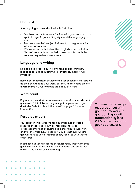## Don't risk it

Spotting plagiarism and collusion isn't difficult

- Teachers and lecturers are familiar with your work and can spot changes in your writing style and the language you use.
- Markers know their subject inside out, so they're familiar with lots of sources.
- We use software that identifies plagiarism and collusion. This software matches copied phrases and text with the sources they've been taken from.

## Language and writing

Do not include rude, abusive, offensive or discriminatory language or images in your work – if you do, markers will investigate.

Remember that written coursework must be legible. Markers will do their best to read your work, but they might not be able to award marks if your writing is too difficult to read.

## Word count

If your coursework states a minimum or maximum word count, you must stick to it because you might be penalised if you don't. See 'What if I break the rules?' on page 8 for more information.

## Resource sheets

Your teacher or lecturer will tell you if you need to use a resource sheet (also known as 'research sheets' or 'processed information sheets') as part of your coursework and will show you how to use it. If you are not sure whether you will need to use a resource sheet, speak to your teacher or lecturer.

If you need to use a resource sheet, it's really important that you know the rules on how to use it because you could lose marks if you do not use it correctly.

You must hand in your resource sheet with your coursework. If you don't, you will automatically lose 20% of the marks for your coursework.

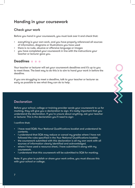# Handing in your coursework

## Check your work

Before you hand in your coursework, you must look over it and check that:

- everything is your own work, and you have properly referenced all sources of information, diagrams or illustrations you have used
- there is no rude, abusive or offensive language or images
- you have completed your coursework in line with the instructions your teacher or lecturer gave you.

#### Deadlines  $\bullet \bullet \bullet$

Your teacher or lecturer will set your coursework deadlines and it's up to you to meet these. The best way to do this is to aim to hand your work in before the deadline.

If you are struggling to meet a deadline, talk to your teacher or lecturer as early as possible to see what they can do to help.



## **Declaration**

Before your school, college or training provider sends your coursework to us for marking, they will give you a declaration to sign. It's really important that you understand the declaration. If you're unsure about anything, ask your teacher or lecturer. This is the declaration you'll need to sign:

I confirm that:

- I have read SQA's Your National Qualifications booklet and understand its contents.
- I understand that SQA may reduce or cancel my grades where I have not followed the rules specified in the Your National Qualifications booklet.
- the coursework submitted with this declaration is all my own work with all sources of information clearly identified and acknowledged.
- where I have used a resource sheet, I have submitted it along with my coursework.
- I understand that this coursework will be submitted to SQA for marking.

Note: if you plan to publish or share your work online, you must discuss this with your school or college.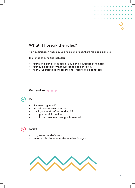

# What if I break the rules?

If an investigation finds you've broken any rules, there may be a penalty.

The range of penalties includes:

- Your marks can be reduced, or you can be awarded zero marks.
- Your qualification for that subject can be cancelled.
- All of your qualifications for the entire year can be cancelled.

#### Remember  $\bullet \bullet \bullet$



## Do

- all the work yourself
- properly reference all sources
- check your work before handing it in
- hand your work in on time
- hand in any resource sheet you have used



- copy someone else's work
- use rude, abusive or offensive words or images

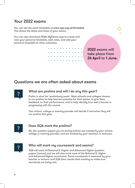# Your 2022 exams

You can see the exam timetable at www.sqa.org.uk/timetable. This shows the dates and times of your exams.

You can also download SQA's MyExams app to create and view your personal timetable, add notes, and add your personal timetable to other calendars.

> 2022 exams will take place from 26 April to 1 June.

# Questions we are often asked about exams



## What are prelims and will I do any this year?

Prelim is short for 'preliminary exam'. Most schools and colleges choose to run prelims to help learners practise for their exams, to give them feedback on their performance, and to help identify how well a learner is progressing with the course.

Your school, college or training provider will decide if and when they will run prelims this year.



#### Does SQA mark the prelims?

No, the question papers you sit during prelims are created by your school, college or training provider, and are marked by your teachers or lecturers.



#### Who will mark my coursework and exams?

SQA will mark all National 5, Higher and Advanced Higher question papers (exams) and we will also mark most of the National 5, Higher and Advanced Higher coursework. Some coursework is assessed by your teacher or lecturer and SQA then checks their marking to make sure standards are being met.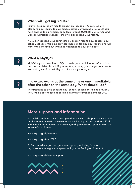

#### When will I get my results?

You will get your exam results by post on Tuesday 9 August. We will also send your results to your school, college or training provider. If you have applied to a university or college through UCAS (the University and College Admissions Service), they will also receive your results.

If you don't receive your certificate by post on results day, contact your school, college or training provider. They can tell you your results and will work with us to find out what has happened to your certificate.



#### What is MySQA?

MySQA is your direct link to SQA. It holds your qualification information and personal details and, if you're sitting exams, you can get your results sent out by email or text. Sign up at www.mysqa.org.uk.



#### I have two exams at the same time or one immediately after the other on the same day. What should I do?

The first thing to do is speak to your school, college or training provider. They will be able to look at possible alternative arrangements for you.

# More support and information

We will do our best to keep you up to date on what is happening with your qualifications. You will receive another booklet by the end of March 2022 with more information on assessment, and you can stay up to date on the latest information at:

www.sqa.org.uk/learners

#### www.sqa.org.uk/nq2022

To find out where you can get more support, including links to organisations who you can speak to if you are feeling anxious visit:

www.sqa.org.uk/learnersupport